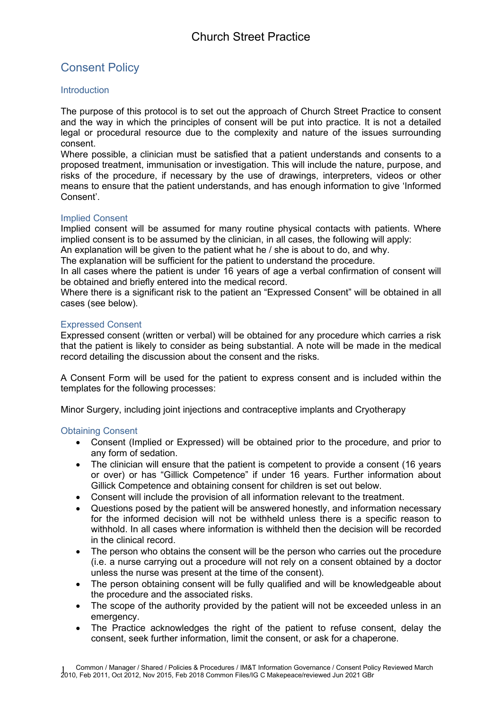# Consent Policy

# **Introduction**

The purpose of this protocol is to set out the approach of Church Street Practice to consent and the way in which the principles of consent will be put into practice. It is not a detailed legal or procedural resource due to the complexity and nature of the issues surrounding consent.

Where possible, a clinician must be satisfied that a patient understands and consents to a proposed treatment, immunisation or investigation. This will include the nature, purpose, and risks of the procedure, if necessary by the use of drawings, interpreters, videos or other means to ensure that the patient understands, and has enough information to give 'Informed Consent'.

## Implied Consent

Implied consent will be assumed for many routine physical contacts with patients. Where implied consent is to be assumed by the clinician, in all cases, the following will apply:

An explanation will be given to the patient what he / she is about to do, and why.

The explanation will be sufficient for the patient to understand the procedure.

In all cases where the patient is under 16 years of age a verbal confirmation of consent will be obtained and briefly entered into the medical record.

Where there is a significant risk to the patient an "Expressed Consent" will be obtained in all cases (see below).

## Expressed Consent

Expressed consent (written or verbal) will be obtained for any procedure which carries a risk that the patient is likely to consider as being substantial. A note will be made in the medical record detailing the discussion about the consent and the risks.

A Consent Form will be used for the patient to express consent and is included within the templates for the following processes:

Minor Surgery, including joint injections and contraceptive implants and Cryotherapy

# Obtaining Consent

- Consent (Implied or Expressed) will be obtained prior to the procedure, and prior to any form of sedation.
- The clinician will ensure that the patient is competent to provide a consent (16 years or over) or has "Gillick Competence" if under 16 years. Further information about Gillick Competence and obtaining consent for children is set out below.
- Consent will include the provision of all information relevant to the treatment.
- Questions posed by the patient will be answered honestly, and information necessary for the informed decision will not be withheld unless there is a specific reason to withhold. In all cases where information is withheld then the decision will be recorded in the clinical record.
- The person who obtains the consent will be the person who carries out the procedure (i.e. a nurse carrying out a procedure will not rely on a consent obtained by a doctor unless the nurse was present at the time of the consent).
- The person obtaining consent will be fully qualified and will be knowledgeable about the procedure and the associated risks.
- The scope of the authority provided by the patient will not be exceeded unless in an emergency.
- The Practice acknowledges the right of the patient to refuse consent, delay the consent, seek further information, limit the consent, or ask for a chaperone.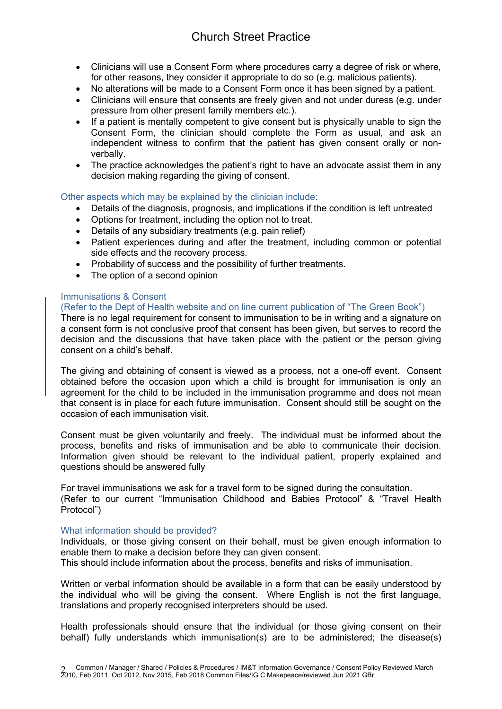# Church Street Practice

- Clinicians will use a Consent Form where procedures carry a degree of risk or where, for other reasons, they consider it appropriate to do so (e.g. malicious patients).
- No alterations will be made to a Consent Form once it has been signed by a patient.
- Clinicians will ensure that consents are freely given and not under duress (e.g. under pressure from other present family members etc.).
- If a patient is mentally competent to give consent but is physically unable to sign the Consent Form, the clinician should complete the Form as usual, and ask an independent witness to confirm that the patient has given consent orally or nonverbally.
- The practice acknowledges the patient's right to have an advocate assist them in any decision making regarding the giving of consent.

## Other aspects which may be explained by the clinician include:

- Details of the diagnosis, prognosis, and implications if the condition is left untreated
- Options for treatment, including the option not to treat.
- Details of any subsidiary treatments (e.g. pain relief)
- Patient experiences during and after the treatment, including common or potential side effects and the recovery process.
- Probability of success and the possibility of further treatments.
- The option of a second opinion

## Immunisations & Consent

#### (Refer to the Dept of Health website and on line current publication of "The Green Book")

There is no legal requirement for consent to immunisation to be in writing and a signature on a consent form is not conclusive proof that consent has been given, but serves to record the decision and the discussions that have taken place with the patient or the person giving consent on a child's behalf.

The giving and obtaining of consent is viewed as a process, not a one-off event. Consent obtained before the occasion upon which a child is brought for immunisation is only an agreement for the child to be included in the immunisation programme and does not mean that consent is in place for each future immunisation. Consent should still be sought on the occasion of each immunisation visit.

Consent must be given voluntarily and freely. The individual must be informed about the process, benefits and risks of immunisation and be able to communicate their decision. Information given should be relevant to the individual patient, properly explained and questions should be answered fully

For travel immunisations we ask for a travel form to be signed during the consultation. (Refer to our current "Immunisation Childhood and Babies Protocol" & "Travel Health Protocol")

#### What information should be provided?

Individuals, or those giving consent on their behalf, must be given enough information to enable them to make a decision before they can given consent. This should include information about the process, benefits and risks of immunisation.

Written or verbal information should be available in a form that can be easily understood by the individual who will be giving the consent. Where English is not the first language, translations and properly recognised interpreters should be used.

Health professionals should ensure that the individual (or those giving consent on their behalf) fully understands which immunisation(s) are to be administered; the disease(s)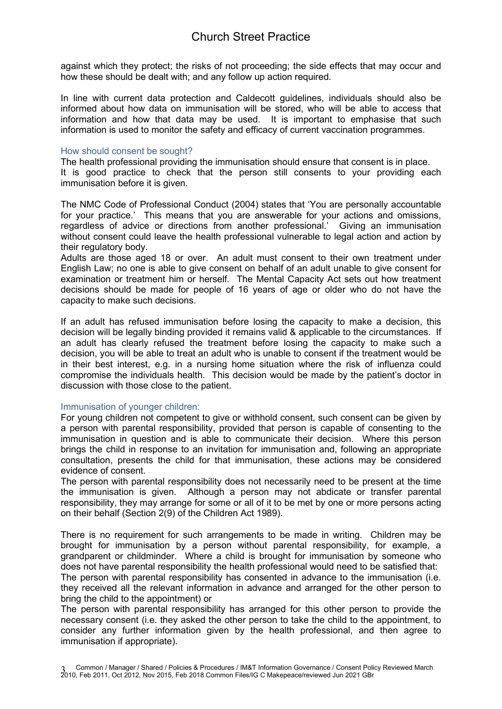against which they protect; the risks of not proceeding; the side effects that may occur and how these should be dealt with; and any follow up action required.

In line with current data protection and Caldecott guidelines, individuals should also be informed about how data on immunisation will be stored, who will be able to access that information and how that data may be used. It is important to emphasise that such information is used to monitor the safety and efficacy of current vaccination programmes.

#### How should consent be sought?

The health professional providing the immunisation should ensure that consent is in place. It is good practice to check that the person still consents to your providing each immunisation before it is given.

The NMC Code of Professional Conduct (2004) states that 'You are personally accountable for your practice.' This means that you are answerable for your actions and omissions, regardless of advice or directions from another professional.' Giving an immunisation without consent could leave the health professional vulnerable to legal action and action by their regulatory body.

Adults are those aged 18 or over. An adult must consent to their own treatment under English Law; no one is able to give consent on behalf of an adult unable to give consent for examination or treatment him or herself. The Mental Capacity Act sets out how treatment decisions should be made for people of 16 years of age or older who do not have the capacity to make such decisions.

If an adult has refused immunisation before losing the capacity to make a decision, this decision will be legally binding provided it remains valid & applicable to the circumstances. If an adult has clearly refused the treatment before losing the capacity to make such a decision, you will be able to treat an adult who is unable to consent if the treatment would be in their best interest, e.g. in a nursing home situation where the risk of influenza could compromise the individuals health. This decision would be made by the patient's doctor in discussion with those close to the patient.

#### Immunisation of younger children:

For young children not competent to give or withhold consent, such consent can be given by a person with parental responsibility, provided that person is capable of consenting to the immunisation in question and is able to communicate their decision. Where this person brings the child in response to an invitation for immunisation and, following an appropriate consultation, presents the child for that immunisation, these actions may be considered evidence of consent.

The person with parental responsibility does not necessarily need to be present at the time the immunisation is given. Although a person may not abdicate or transfer parental responsibility, they may arrange for some or all of it to be met by one or more persons acting on their behalf (Section 2(9) of the Children Act 1989).

There is no requirement for such arrangements to be made in writing. Children may be brought for immunisation by a person without parental responsibility, for example, a grandparent or childminder. Where a child is brought for immunisation by someone who does not have parental responsibility the health professional would need to be satisfied that: The person with parental responsibility has consented in advance to the immunisation (i.e. they received all the relevant information in advance and arranged for the other person to

bring the child to the appointment) or

The person with parental responsibility has arranged for this other person to provide the necessary consent (i.e. they asked the other person to take the child to the appointment, to consider any further information given by the health professional, and then agree to immunisation if appropriate).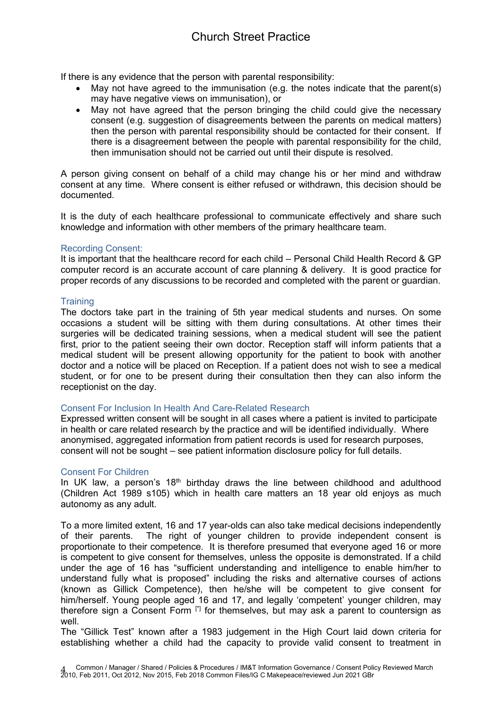# Church Street Practice

If there is any evidence that the person with parental responsibility:

- May not have agreed to the immunisation (e.g. the notes indicate that the parent(s) may have negative views on immunisation), or
- May not have agreed that the person bringing the child could give the necessary consent (e.g. suggestion of disagreements between the parents on medical matters) then the person with parental responsibility should be contacted for their consent. If there is a disagreement between the people with parental responsibility for the child, then immunisation should not be carried out until their dispute is resolved.

A person giving consent on behalf of a child may change his or her mind and withdraw consent at any time. Where consent is either refused or withdrawn, this decision should be documented.

It is the duty of each healthcare professional to communicate effectively and share such knowledge and information with other members of the primary healthcare team.

#### Recording Consent:

It is important that the healthcare record for each child – Personal Child Health Record & GP computer record is an accurate account of care planning & delivery. It is good practice for proper records of any discussions to be recorded and completed with the parent or guardian.

## **Training**

The doctors take part in the training of 5th year medical students and nurses. On some occasions a student will be sitting with them during consultations. At other times their surgeries will be dedicated training sessions, when a medical student will see the patient first, prior to the patient seeing their own doctor. Reception staff will inform patients that a medical student will be present allowing opportunity for the patient to book with another doctor and a notice will be placed on Reception. If a patient does not wish to see a medical student, or for one to be present during their consultation then they can also inform the receptionist on the day.

#### Consent For Inclusion In Health And Care-Related Research

Expressed written consent will be sought in all cases where a patient is invited to participate in health or care related research by the practice and will be identified individually. Where anonymised, aggregated information from patient records is used for research purposes, consent will not be sought – see patient information disclosure policy for full details.

#### Consent For Children

In UK law, a person's 18<sup>th</sup> birthday draws the line between childhood and adulthood (Children Act 1989 s105) which in health care matters an 18 year old enjoys as much autonomy as any adult.

To a more limited extent, 16 and 17 year-olds can also take medical decisions independently of their parents. The right of younger children to provide independent consent is proportionate to their competence. It is therefore presumed that everyone aged 16 or more is competent to give consent for themselves, unless the opposite is demonstrated. If a child under the age of 16 has "sufficient understanding and intelligence to enable him/her to understand fully what is proposed" including the risks and alternative courses of actions (known as Gillick Competence), then he/she will be competent to give consent for him/herself. Young people aged 16 and 17, and legally 'competent' younger children, may therefore sign a Consent Form [\*] for themselves, but may ask a parent to countersign as well.

The "Gillick Test" known after a 1983 judgement in the High Court laid down criteria for establishing whether a child had the capacity to provide valid consent to treatment in